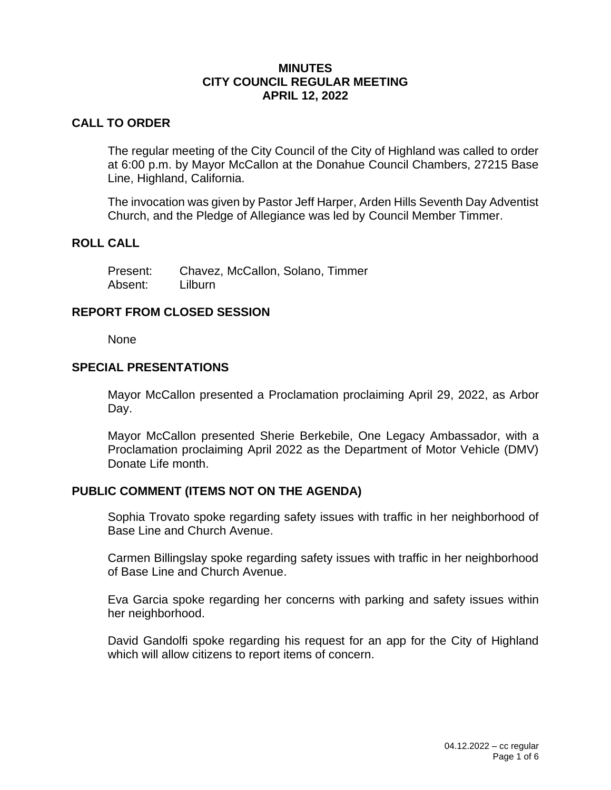#### **MINUTES CITY COUNCIL REGULAR MEETING APRIL 12, 2022**

## **CALL TO ORDER**

The regular meeting of the City Council of the City of Highland was called to order at 6:00 p.m. by Mayor McCallon at the Donahue Council Chambers, 27215 Base Line, Highland, California.

The invocation was given by Pastor Jeff Harper, Arden Hills Seventh Day Adventist Church, and the Pledge of Allegiance was led by Council Member Timmer.

## **ROLL CALL**

| Present: | Chavez, McCallon, Solano, Timmer |
|----------|----------------------------------|
| Absent:  | Lilburn                          |

## **REPORT FROM CLOSED SESSION**

None

#### **SPECIAL PRESENTATIONS**

Mayor McCallon presented a Proclamation proclaiming April 29, 2022, as Arbor Day.

Mayor McCallon presented Sherie Berkebile, One Legacy Ambassador, with a Proclamation proclaiming April 2022 as the Department of Motor Vehicle (DMV) Donate Life month.

## **PUBLIC COMMENT (ITEMS NOT ON THE AGENDA)**

Sophia Trovato spoke regarding safety issues with traffic in her neighborhood of Base Line and Church Avenue.

Carmen Billingslay spoke regarding safety issues with traffic in her neighborhood of Base Line and Church Avenue.

Eva Garcia spoke regarding her concerns with parking and safety issues within her neighborhood.

David Gandolfi spoke regarding his request for an app for the City of Highland which will allow citizens to report items of concern.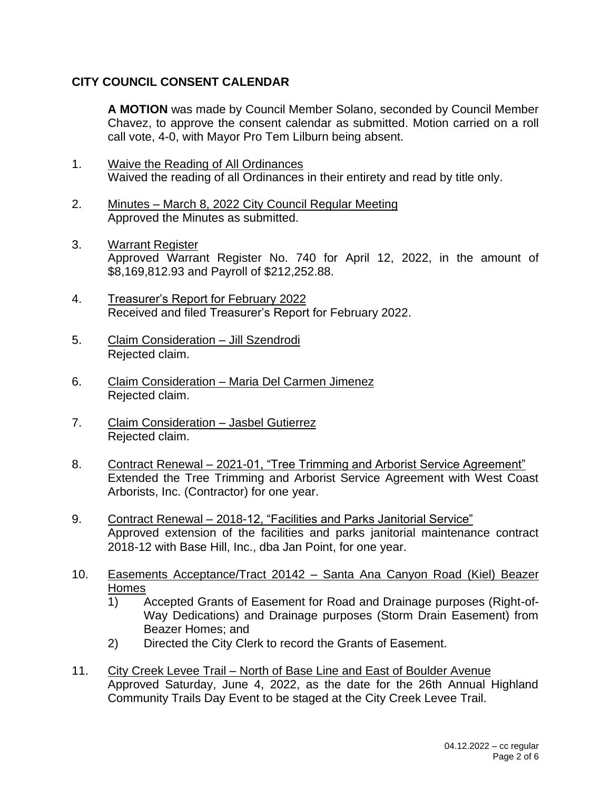# **CITY COUNCIL CONSENT CALENDAR**

**A MOTION** was made by Council Member Solano, seconded by Council Member Chavez, to approve the consent calendar as submitted. Motion carried on a roll call vote, 4-0, with Mayor Pro Tem Lilburn being absent.

- 1. Waive the Reading of All Ordinances Waived the reading of all Ordinances in their entirety and read by title only.
- 2. Minutes March 8, 2022 City Council Regular Meeting Approved the Minutes as submitted.
- 3. Warrant Register Approved Warrant Register No. 740 for April 12, 2022, in the amount of \$8,169,812.93 and Payroll of \$212,252.88.
- 4. Treasurer's Report for February 2022 Received and filed Treasurer's Report for February 2022.
- 5. Claim Consideration Jill Szendrodi Rejected claim.
- 6. Claim Consideration Maria Del Carmen Jimenez Rejected claim.
- 7. Claim Consideration Jasbel Gutierrez Rejected claim.
- 8. Contract Renewal 2021-01, "Tree Trimming and Arborist Service Agreement" Extended the Tree Trimming and Arborist Service Agreement with West Coast Arborists, Inc. (Contractor) for one year.
- 9. Contract Renewal 2018-12, "Facilities and Parks Janitorial Service" Approved extension of the facilities and parks janitorial maintenance contract 2018-12 with Base Hill, Inc., dba Jan Point, for one year.
- 10. Easements Acceptance/Tract 20142 Santa Ana Canyon Road (Kiel) Beazer Homes
	- 1) Accepted Grants of Easement for Road and Drainage purposes (Right-of-Way Dedications) and Drainage purposes (Storm Drain Easement) from Beazer Homes; and
	- 2) Directed the City Clerk to record the Grants of Easement.
- 11. City Creek Levee Trail North of Base Line and East of Boulder Avenue Approved Saturday, June 4, 2022, as the date for the 26th Annual Highland Community Trails Day Event to be staged at the City Creek Levee Trail.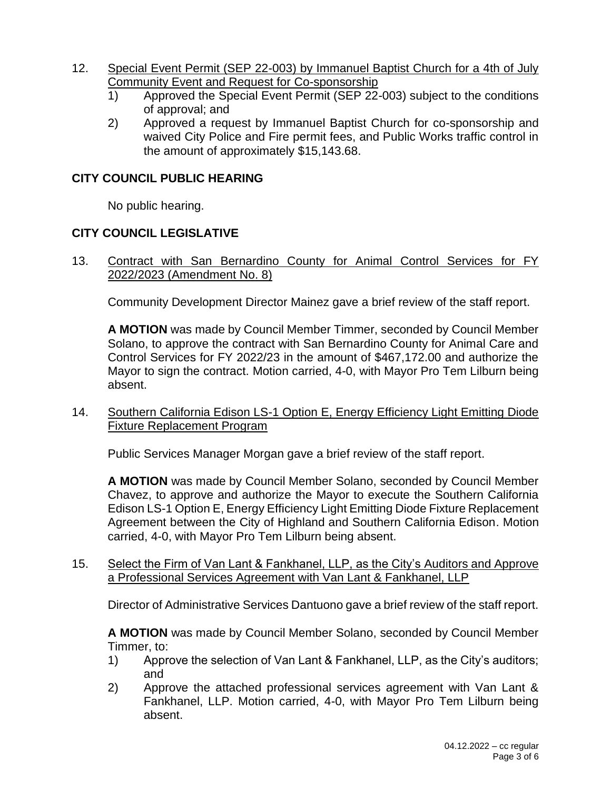- 12. Special Event Permit (SEP 22-003) by Immanuel Baptist Church for a 4th of July Community Event and Request for Co-sponsorship
	- 1) Approved the Special Event Permit (SEP 22-003) subject to the conditions of approval; and
	- 2) Approved a request by Immanuel Baptist Church for co-sponsorship and waived City Police and Fire permit fees, and Public Works traffic control in the amount of approximately \$15,143.68.

# **CITY COUNCIL PUBLIC HEARING**

No public hearing.

# **CITY COUNCIL LEGISLATIVE**

13. Contract with San Bernardino County for Animal Control Services for FY 2022/2023 (Amendment No. 8)

Community Development Director Mainez gave a brief review of the staff report.

**A MOTION** was made by Council Member Timmer, seconded by Council Member Solano, to approve the contract with San Bernardino County for Animal Care and Control Services for FY 2022/23 in the amount of \$467,172.00 and authorize the Mayor to sign the contract. Motion carried, 4-0, with Mayor Pro Tem Lilburn being absent.

14. Southern California Edison LS-1 Option E, Energy Efficiency Light Emitting Diode Fixture Replacement Program

Public Services Manager Morgan gave a brief review of the staff report.

**A MOTION** was made by Council Member Solano, seconded by Council Member Chavez, to approve and authorize the Mayor to execute the Southern California Edison LS-1 Option E, Energy Efficiency Light Emitting Diode Fixture Replacement Agreement between the City of Highland and Southern California Edison. Motion carried, 4-0, with Mayor Pro Tem Lilburn being absent.

15. Select the Firm of Van Lant & Fankhanel, LLP, as the City's Auditors and Approve a Professional Services Agreement with Van Lant & Fankhanel, LLP

Director of Administrative Services Dantuono gave a brief review of the staff report.

**A MOTION** was made by Council Member Solano, seconded by Council Member Timmer, to:

- 1) Approve the selection of Van Lant & Fankhanel, LLP, as the City's auditors; and
- 2) Approve the attached professional services agreement with Van Lant & Fankhanel, LLP. Motion carried, 4-0, with Mayor Pro Tem Lilburn being absent.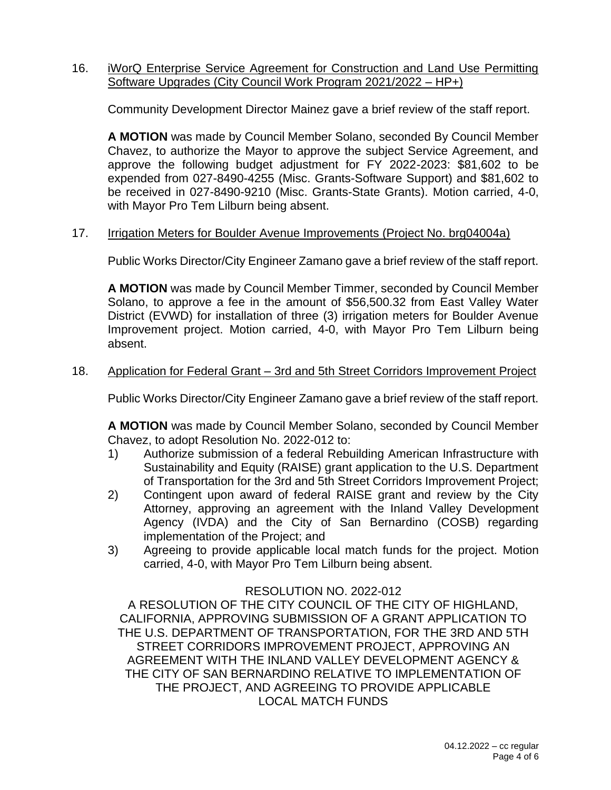#### 16. iWorQ Enterprise Service Agreement for Construction and Land Use Permitting Software Upgrades (City Council Work Program 2021/2022 – HP+)

Community Development Director Mainez gave a brief review of the staff report.

**A MOTION** was made by Council Member Solano, seconded By Council Member Chavez, to authorize the Mayor to approve the subject Service Agreement, and approve the following budget adjustment for FY 2022-2023: \$81,602 to be expended from 027-8490-4255 (Misc. Grants-Software Support) and \$81,602 to be received in 027-8490-9210 (Misc. Grants-State Grants). Motion carried, 4-0, with Mayor Pro Tem Lilburn being absent.

#### 17. Irrigation Meters for Boulder Avenue Improvements (Project No. brg04004a)

Public Works Director/City Engineer Zamano gave a brief review of the staff report.

**A MOTION** was made by Council Member Timmer, seconded by Council Member Solano, to approve a fee in the amount of \$56,500.32 from East Valley Water District (EVWD) for installation of three (3) irrigation meters for Boulder Avenue Improvement project. Motion carried, 4-0, with Mayor Pro Tem Lilburn being absent.

#### 18. Application for Federal Grant – 3rd and 5th Street Corridors Improvement Project

Public Works Director/City Engineer Zamano gave a brief review of the staff report.

**A MOTION** was made by Council Member Solano, seconded by Council Member Chavez, to adopt Resolution No. 2022-012 to:

- 1) Authorize submission of a federal Rebuilding American Infrastructure with Sustainability and Equity (RAISE) grant application to the U.S. Department of Transportation for the 3rd and 5th Street Corridors Improvement Project;
- 2) Contingent upon award of federal RAISE grant and review by the City Attorney, approving an agreement with the Inland Valley Development Agency (IVDA) and the City of San Bernardino (COSB) regarding implementation of the Project; and
- 3) Agreeing to provide applicable local match funds for the project. Motion carried, 4-0, with Mayor Pro Tem Lilburn being absent.

## RESOLUTION NO. 2022-012

A RESOLUTION OF THE CITY COUNCIL OF THE CITY OF HIGHLAND, CALIFORNIA, APPROVING SUBMISSION OF A GRANT APPLICATION TO THE U.S. DEPARTMENT OF TRANSPORTATION, FOR THE 3RD AND 5TH STREET CORRIDORS IMPROVEMENT PROJECT, APPROVING AN AGREEMENT WITH THE INLAND VALLEY DEVELOPMENT AGENCY & THE CITY OF SAN BERNARDINO RELATIVE TO IMPLEMENTATION OF THE PROJECT, AND AGREEING TO PROVIDE APPLICABLE LOCAL MATCH FUNDS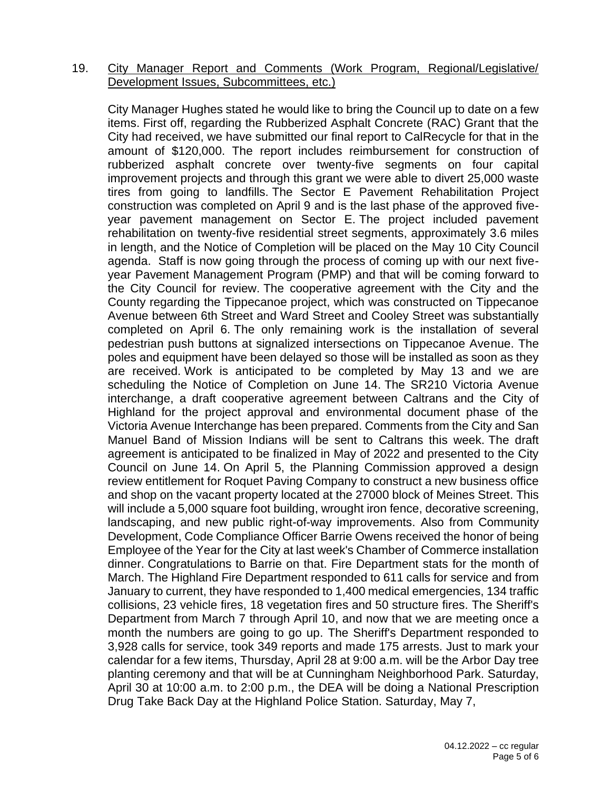#### 19. City Manager Report and Comments (Work Program, Regional/Legislative/ Development Issues, Subcommittees, etc.)

City Manager Hughes stated he would like to bring the Council up to date on a few items. First off, regarding the Rubberized Asphalt Concrete (RAC) Grant that the City had received, we have submitted our final report to CalRecycle for that in the amount of \$120,000. The report includes reimbursement for construction of rubberized asphalt concrete over twenty-five segments on four capital improvement projects and through this grant we were able to divert 25,000 waste tires from going to landfills. The Sector E Pavement Rehabilitation Project construction was completed on April 9 and is the last phase of the approved fiveyear pavement management on Sector E. The project included pavement rehabilitation on twenty-five residential street segments, approximately 3.6 miles in length, and the Notice of Completion will be placed on the May 10 City Council agenda. Staff is now going through the process of coming up with our next fiveyear Pavement Management Program (PMP) and that will be coming forward to the City Council for review. The cooperative agreement with the City and the County regarding the Tippecanoe project, which was constructed on Tippecanoe Avenue between 6th Street and Ward Street and Cooley Street was substantially completed on April 6. The only remaining work is the installation of several pedestrian push buttons at signalized intersections on Tippecanoe Avenue. The poles and equipment have been delayed so those will be installed as soon as they are received. Work is anticipated to be completed by May 13 and we are scheduling the Notice of Completion on June 14. The SR210 Victoria Avenue interchange, a draft cooperative agreement between Caltrans and the City of Highland for the project approval and environmental document phase of the Victoria Avenue Interchange has been prepared. Comments from the City and San Manuel Band of Mission Indians will be sent to Caltrans this week. The draft agreement is anticipated to be finalized in May of 2022 and presented to the City Council on June 14. On April 5, the Planning Commission approved a design review entitlement for Roquet Paving Company to construct a new business office and shop on the vacant property located at the 27000 block of Meines Street. This will include a 5,000 square foot building, wrought iron fence, decorative screening, landscaping, and new public right-of-way improvements. Also from Community Development, Code Compliance Officer Barrie Owens received the honor of being Employee of the Year for the City at last week's Chamber of Commerce installation dinner. Congratulations to Barrie on that. Fire Department stats for the month of March. The Highland Fire Department responded to 611 calls for service and from January to current, they have responded to 1,400 medical emergencies, 134 traffic collisions, 23 vehicle fires, 18 vegetation fires and 50 structure fires. The Sheriff's Department from March 7 through April 10, and now that we are meeting once a month the numbers are going to go up. The Sheriff's Department responded to 3,928 calls for service, took 349 reports and made 175 arrests. Just to mark your calendar for a few items, Thursday, April 28 at 9:00 a.m. will be the Arbor Day tree planting ceremony and that will be at Cunningham Neighborhood Park. Saturday, April 30 at 10:00 a.m. to 2:00 p.m., the DEA will be doing a National Prescription Drug Take Back Day at the Highland Police Station. Saturday, May 7,